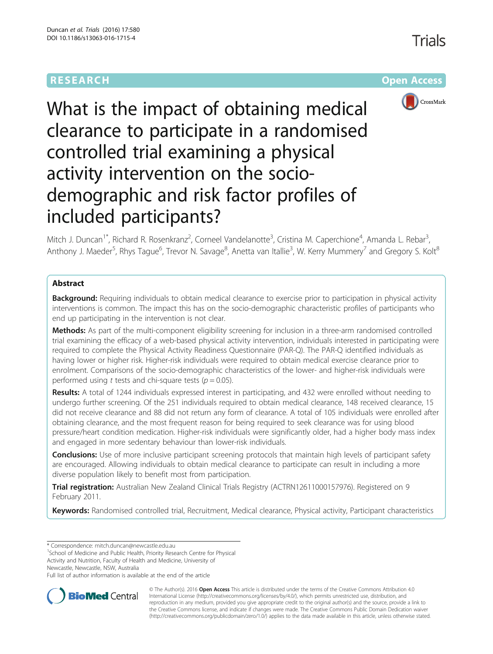Trials





# What is the impact of obtaining medical clearance to participate in a randomised controlled trial examining a physical activity intervention on the sociodemographic and risk factor profiles of included participants?

Mitch J. Duncan<sup>1\*</sup>, Richard R. Rosenkranz<sup>2</sup>, Corneel Vandelanotte<sup>3</sup>, Cristina M. Caperchione<sup>4</sup>, Amanda L. Rebar<sup>3</sup> , Anthony J. Maeder<sup>5</sup>, Rhys Tague<sup>6</sup>, Trevor N. Savage<sup>8</sup>, Anetta van Itallie<sup>3</sup>, W. Kerry Mummery<sup>7</sup> and Gregory S. Kolt<sup>8</sup>

# Abstract

**Background:** Requiring individuals to obtain medical clearance to exercise prior to participation in physical activity interventions is common. The impact this has on the socio-demographic characteristic profiles of participants who end up participating in the intervention is not clear.

**Methods:** As part of the multi-component eligibility screening for inclusion in a three-arm randomised controlled trial examining the efficacy of a web-based physical activity intervention, individuals interested in participating were required to complete the Physical Activity Readiness Questionnaire (PAR-Q). The PAR-Q identified individuals as having lower or higher risk. Higher-risk individuals were required to obtain medical exercise clearance prior to enrolment. Comparisons of the socio-demographic characteristics of the lower- and higher-risk individuals were performed using t tests and chi-square tests ( $p = 0.05$ ).

Results: A total of 1244 individuals expressed interest in participating, and 432 were enrolled without needing to undergo further screening. Of the 251 individuals required to obtain medical clearance, 148 received clearance, 15 did not receive clearance and 88 did not return any form of clearance. A total of 105 individuals were enrolled after obtaining clearance, and the most frequent reason for being required to seek clearance was for using blood pressure/heart condition medication. Higher-risk individuals were significantly older, had a higher body mass index and engaged in more sedentary behaviour than lower-risk individuals.

**Conclusions:** Use of more inclusive participant screening protocols that maintain high levels of participant safety are encouraged. Allowing individuals to obtain medical clearance to participate can result in including a more diverse population likely to benefit most from participation.

Trial registration: Australian New Zealand Clinical Trials Registry ([ACTRN12611000157976](https://www.anzctr.org.au/Trial/Registration/TrialReview.aspx?id=336443&isReview=true)). Registered on 9 February 2011.

Keywords: Randomised controlled trial, Recruitment, Medical clearance, Physical activity, Participant characteristics

\* Correspondence: [mitch.duncan@newcastle.edu.au](mailto:mitch.duncan@newcastle.edu.au) <sup>1</sup>

<sup>1</sup>School of Medicine and Public Health, Priority Research Centre for Physical Activity and Nutrition, Faculty of Health and Medicine, University of Newcastle, Newcastle, NSW, Australia

Full list of author information is available at the end of the article



© The Author(s). 2016 Open Access This article is distributed under the terms of the Creative Commons Attribution 4.0 International License [\(http://creativecommons.org/licenses/by/4.0/](http://creativecommons.org/licenses/by/4.0/)), which permits unrestricted use, distribution, and reproduction in any medium, provided you give appropriate credit to the original author(s) and the source, provide a link to the Creative Commons license, and indicate if changes were made. The Creative Commons Public Domain Dedication waiver [\(http://creativecommons.org/publicdomain/zero/1.0/](http://creativecommons.org/publicdomain/zero/1.0/)) applies to the data made available in this article, unless otherwise stated.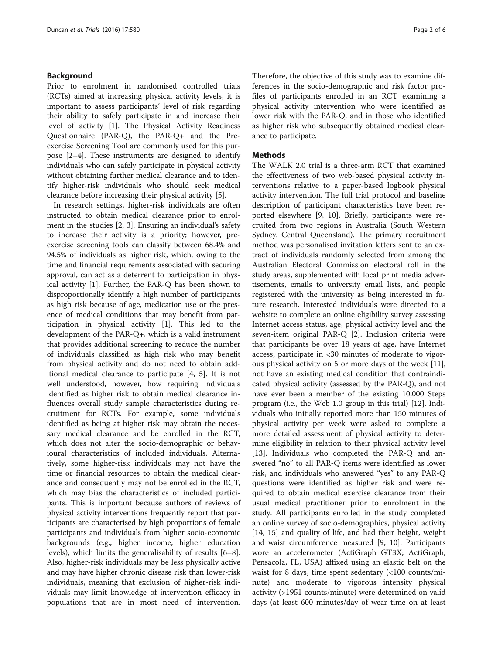# Background

Prior to enrolment in randomised controlled trials (RCTs) aimed at increasing physical activity levels, it is important to assess participants' level of risk regarding their ability to safely participate in and increase their level of activity [\[1](#page-5-0)]. The Physical Activity Readiness Questionnaire (PAR-Q), the PAR-Q+ and the Preexercise Screening Tool are commonly used for this purpose [[2](#page-5-0)–[4\]](#page-5-0). These instruments are designed to identify individuals who can safely participate in physical activity without obtaining further medical clearance and to identify higher-risk individuals who should seek medical clearance before increasing their physical activity [\[5](#page-5-0)].

In research settings, higher-risk individuals are often instructed to obtain medical clearance prior to enrolment in the studies [[2, 3\]](#page-5-0). Ensuring an individual's safety to increase their activity is a priority; however, preexercise screening tools can classify between 68.4% and 94.5% of individuals as higher risk, which, owing to the time and financial requirements associated with securing approval, can act as a deterrent to participation in physical activity [[1\]](#page-5-0). Further, the PAR-Q has been shown to disproportionally identify a high number of participants as high risk because of age, medication use or the presence of medical conditions that may benefit from participation in physical activity [[1](#page-5-0)]. This led to the development of the PAR-Q+, which is a valid instrument that provides additional screening to reduce the number of individuals classified as high risk who may benefit from physical activity and do not need to obtain additional medical clearance to participate [\[4, 5](#page-5-0)]. It is not well understood, however, how requiring individuals identified as higher risk to obtain medical clearance influences overall study sample characteristics during recruitment for RCTs. For example, some individuals identified as being at higher risk may obtain the necessary medical clearance and be enrolled in the RCT, which does not alter the socio-demographic or behavioural characteristics of included individuals. Alternatively, some higher-risk individuals may not have the time or financial resources to obtain the medical clearance and consequently may not be enrolled in the RCT, which may bias the characteristics of included participants. This is important because authors of reviews of physical activity interventions frequently report that participants are characterised by high proportions of female participants and individuals from higher socio-economic backgrounds (e.g., higher income, higher education levels), which limits the generalisability of results [\[6](#page-5-0)–[8](#page-5-0)]. Also, higher-risk individuals may be less physically active and may have higher chronic disease risk than lower-risk individuals, meaning that exclusion of higher-risk individuals may limit knowledge of intervention efficacy in populations that are in most need of intervention.

Therefore, the objective of this study was to examine differences in the socio-demographic and risk factor profiles of participants enrolled in an RCT examining a physical activity intervention who were identified as lower risk with the PAR-Q, and in those who identified as higher risk who subsequently obtained medical clearance to participate.

#### Methods

The WALK 2.0 trial is a three-arm RCT that examined the effectiveness of two web-based physical activity interventions relative to a paper-based logbook physical activity intervention. The full trial protocol and baseline description of participant characteristics have been reported elsewhere [\[9](#page-5-0), [10](#page-5-0)]. Briefly, participants were recruited from two regions in Australia (South Western Sydney, Central Queensland). The primary recruitment method was personalised invitation letters sent to an extract of individuals randomly selected from among the Australian Electoral Commission electoral roll in the study areas, supplemented with local print media advertisements, emails to university email lists, and people registered with the university as being interested in future research. Interested individuals were directed to a website to complete an online eligibility survey assessing Internet access status, age, physical activity level and the seven-item original PAR-Q [\[2](#page-5-0)]. Inclusion criteria were that participants be over 18 years of age, have Internet access, participate in <30 minutes of moderate to vigorous physical activity on 5 or more days of the week [\[11](#page-5-0)], not have an existing medical condition that contraindicated physical activity (assessed by the PAR-Q), and not have ever been a member of the existing 10,000 Steps program (i.e., the Web 1.0 group in this trial) [\[12\]](#page-5-0). Individuals who initially reported more than 150 minutes of physical activity per week were asked to complete a more detailed assessment of physical activity to determine eligibility in relation to their physical activity level [[13\]](#page-5-0). Individuals who completed the PAR-Q and answered "no" to all PAR-Q items were identified as lower risk, and individuals who answered "yes" to any PAR-Q questions were identified as higher risk and were required to obtain medical exercise clearance from their usual medical practitioner prior to enrolment in the study. All participants enrolled in the study completed an online survey of socio-demographics, physical activity [[14, 15](#page-5-0)] and quality of life, and had their height, weight and waist circumference measured [\[9, 10](#page-5-0)]. Participants wore an accelerometer (ActiGraph GT3X; ActiGraph, Pensacola, FL, USA) affixed using an elastic belt on the waist for 8 days, time spent sedentary (<100 counts/minute) and moderate to vigorous intensity physical activity (>1951 counts/minute) were determined on valid days (at least 600 minutes/day of wear time on at least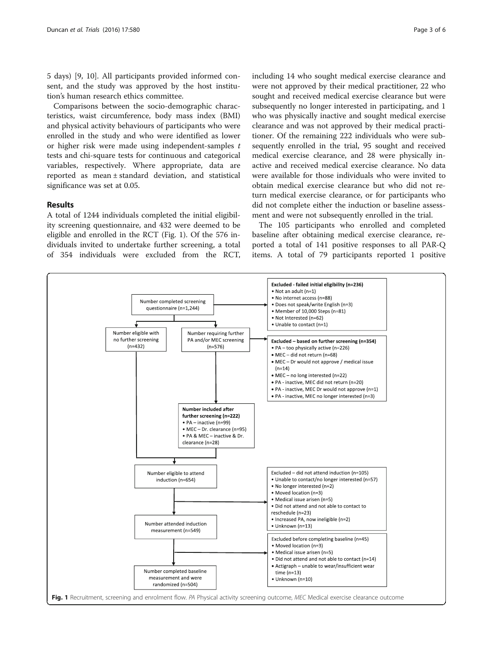5 days) [\[9](#page-5-0), [10](#page-5-0)]. All participants provided informed consent, and the study was approved by the host institution's human research ethics committee.

Comparisons between the socio-demographic characteristics, waist circumference, body mass index (BMI) and physical activity behaviours of participants who were enrolled in the study and who were identified as lower or higher risk were made using independent-samples t tests and chi-square tests for continuous and categorical variables, respectively. Where appropriate, data are reported as mean ± standard deviation, and statistical significance was set at 0.05.

# Results

A total of 1244 individuals completed the initial eligibility screening questionnaire, and 432 were deemed to be eligible and enrolled in the RCT (Fig. 1). Of the 576 individuals invited to undertake further screening, a total of 354 individuals were excluded from the RCT, including 14 who sought medical exercise clearance and were not approved by their medical practitioner, 22 who sought and received medical exercise clearance but were subsequently no longer interested in participating, and 1 who was physically inactive and sought medical exercise clearance and was not approved by their medical practitioner. Of the remaining 222 individuals who were subsequently enrolled in the trial, 95 sought and received medical exercise clearance, and 28 were physically inactive and received medical exercise clearance. No data were available for those individuals who were invited to obtain medical exercise clearance but who did not return medical exercise clearance, or for participants who did not complete either the induction or baseline assessment and were not subsequently enrolled in the trial.

The 105 participants who enrolled and completed baseline after obtaining medical exercise clearance, reported a total of 141 positive responses to all PAR-Q items. A total of 79 participants reported 1 positive

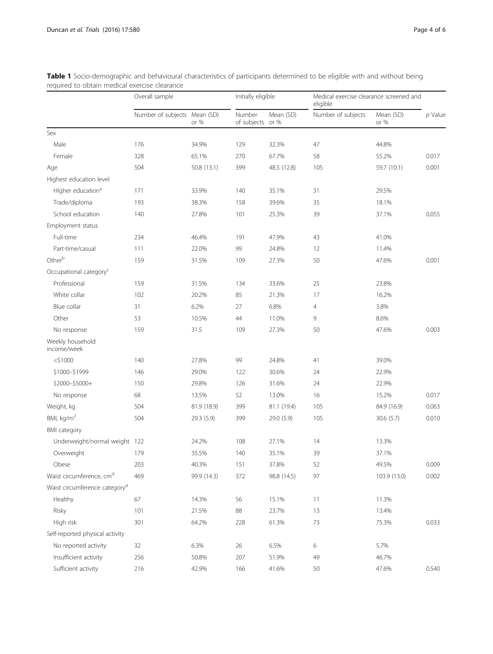|                                           | Overall sample               |             | Initially eligible         |             | Medical exercise clearance screened and<br>eligible |                   |           |
|-------------------------------------------|------------------------------|-------------|----------------------------|-------------|-----------------------------------------------------|-------------------|-----------|
|                                           | Number of subjects Mean (SD) | or %        | Number<br>of subjects or % | Mean (SD)   | Number of subjects                                  | Mean (SD)<br>or % | $p$ Value |
| Sex                                       |                              |             |                            |             |                                                     |                   |           |
| Male                                      | 176                          | 34.9%       | 129                        | 32.3%       | 47                                                  | 44.8%             |           |
| Female                                    | 328                          | 65.1%       | 270                        | 67.7%       | 58                                                  | 55.2%             | 0.017     |
| Age                                       | 504                          | 50.8 (13.1) | 399                        | 48.5 (12.8) | 105                                                 | 59.7 (10.1)       | 0.001     |
| Highest education level                   |                              |             |                            |             |                                                     |                   |           |
| Higher education <sup>a</sup>             | 171                          | 33.9%       | 140                        | 35.1%       | 31                                                  | 29.5%             |           |
| Trade/diploma                             | 193                          | 38.3%       | 158                        | 39.6%       | 35                                                  | 18.1%             |           |
| School education                          | 140                          | 27.8%       | 101                        | 25.3%       | 39                                                  | 37.1%             | 0.055     |
| Employment status                         |                              |             |                            |             |                                                     |                   |           |
| Full-time                                 | 234                          | 46.4%       | 191                        | 47.9%       | 43                                                  | 41.0%             |           |
| Part-time/casual                          | 111                          | 22.0%       | 99                         | 24.8%       | 12                                                  | 11.4%             |           |
| Otherb                                    | 159                          | 31.5%       | 109                        | 27.3%       | 50                                                  | 47.6%             | 0.001     |
| Occupational category <sup>c</sup>        |                              |             |                            |             |                                                     |                   |           |
| Professional                              | 159                          | 31.5%       | 134                        | 33.6%       | 25                                                  | 23.8%             |           |
| White collar                              | 102                          | 20.2%       | 85                         | 21.3%       | 17                                                  | 16.2%             |           |
| Blue collar                               | 31                           | 6.2%        | 27                         | 6.8%        | 4                                                   | 3.8%              |           |
| Other                                     | 53                           | 10.5%       | 44                         | 11.0%       | 9                                                   | 8.6%              |           |
| No response                               | 159                          | 31.5        | 109                        | 27.3%       | 50                                                  | 47.6%             | 0.003     |
| Weekly household<br>income/week           |                              |             |                            |             |                                                     |                   |           |
| $<$ \$1000                                | 140                          | 27.8%       | 99                         | 24.8%       | 41                                                  | 39.0%             |           |
| \$1000-\$1999                             | 146                          | 29.0%       | 122                        | 30.6%       | 24                                                  | 22.9%             |           |
| $$2000 - $5000 +$                         | 150                          | 29.8%       | 126                        | 31.6%       | 24                                                  | 22.9%             |           |
| No response                               | 68                           | 13.5%       | 52                         | 13.0%       | 16                                                  | 15.2%             | 0.017     |
| Weight, kg                                | 504                          | 81.9 (18.9) | 399                        | 81.1 (19.4) | 105                                                 | 84.9 (16.9)       | 0.063     |
| BMI, kg/m <sup>2</sup>                    | 504                          | 29.3 (5.9)  | 399                        | 29.0 (5.9)  | 105                                                 | 30.6 (5.7)        | 0.010     |
| <b>BMI</b> category                       |                              |             |                            |             |                                                     |                   |           |
| Underweight/normal weight 122             |                              | 24.2%       | 108                        | 27.1%       | 14                                                  | 13.3%             |           |
| Overweight                                | 179                          | 35.5%       | 140                        | 35.1%       | 39                                                  | 37.1%             |           |
| Obese                                     | 203                          | 40.3%       | 151                        | 37.8%       | 52                                                  | 49.5%             | 0.009     |
| Waist circumference, cm <sup>d</sup>      | 469                          | 99.9 (14.3) | 372                        | 98.8 (14.5) | 97                                                  | 103.9 (13.0)      | 0.002     |
| Waist circumference category <sup>d</sup> |                              |             |                            |             |                                                     |                   |           |
| Healthy                                   | 67                           | 14.3%       | 56                         | 15.1%       | 11                                                  | 11.3%             |           |
| Risky                                     | 101                          | 21.5%       | 88                         | 23.7%       | 13                                                  | 13.4%             |           |
| High risk                                 | 301                          | 64.2%       | 228                        | 61.3%       | 73                                                  | 75.3%             | 0.033     |
| Self-reported physical activity           |                              |             |                            |             |                                                     |                   |           |
| No reported activity                      | 32                           | 6.3%        | 26                         | 6.5%        | $6\,$                                               | 5.7%              |           |
| Insufficient activity                     | 256                          | 50.8%       | 207                        | 51.9%       | 49                                                  | 46.7%             |           |
| Sufficient activity                       | 216                          | 42.9%       | 166                        | 41.6%       | 50                                                  | 47.6%             | 0.540     |

<span id="page-3-0"></span>Table 1 Socio-demographic and behavioural characteristics of participants determined to be eligible with and without being required to obtain medical exercise clearance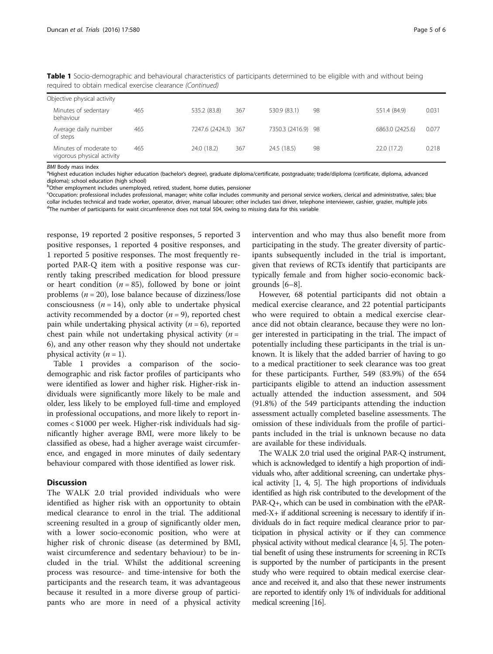| Objective physical activity                          |     |                     |     |                    |    |                 |       |  |  |  |  |  |
|------------------------------------------------------|-----|---------------------|-----|--------------------|----|-----------------|-------|--|--|--|--|--|
| Minutes of sedentary<br>behaviour                    | 465 | 535.2 (83.8)        | 367 | 530.9 (83.1)       | 98 | 551.4 (84.9)    | 0.031 |  |  |  |  |  |
| Average daily number<br>of steps                     | 465 | 7247.6 (2424.3) 367 |     | 7350.3 (2416.9) 98 |    | 6863.0 (2425.6) | 0.077 |  |  |  |  |  |
| Minutes of moderate to<br>vigorous physical activity | 465 | 24.0 (18.2)         | 367 | 24.5 (18.5)        | 98 | 22.0 (17.2)     | 0.218 |  |  |  |  |  |

Table 1 Socio-demographic and behavioural characteristics of participants determined to be eligible with and without being required to obtain medical exercise clearance (Continued)

**BMI Body mass index** 

<sup>a</sup>Highest education includes higher education (bachelor's degree), graduate diploma/certificate, postgraduate; trade/diploma (certificate, diploma, advanced diploma); school education (high school)

**bOther employment includes unemployed, retired, student, home duties, pensioner** 

c Occupation: professional includes professional, manager; white collar includes community and personal service workers, clerical and administrative, sales; blue collar includes technical and trade worker, operator, driver, manual labourer; other includes taxi driver, telephone interviewer, cashier, grazier, multiple jobs  $<sup>d</sup>$ The number of participants for waist circumference does not total 504, owing to missing data for this variable</sup>

response, 19 reported 2 positive responses, 5 reported 3 positive responses, 1 reported 4 positive responses, and 1 reported 5 positive responses. The most frequently reported PAR-Q item with a positive response was currently taking prescribed medication for blood pressure or heart condition ( $n = 85$ ), followed by bone or joint problems ( $n = 20$ ), lose balance because of dizziness/lose consciousness  $(n = 14)$ , only able to undertake physical activity recommended by a doctor  $(n = 9)$ , reported chest pain while undertaking physical activity  $(n = 6)$ , reported chest pain while not undertaking physical activity  $(n =$ 6), and any other reason why they should not undertake physical activity  $(n = 1)$ .

Table [1](#page-3-0) provides a comparison of the sociodemographic and risk factor profiles of participants who were identified as lower and higher risk. Higher-risk individuals were significantly more likely to be male and older, less likely to be employed full-time and employed in professional occupations, and more likely to report incomes < \$1000 per week. Higher-risk individuals had significantly higher average BMI, were more likely to be classified as obese, had a higher average waist circumference, and engaged in more minutes of daily sedentary behaviour compared with those identified as lower risk.

## **Discussion**

The WALK 2.0 trial provided individuals who were identified as higher risk with an opportunity to obtain medical clearance to enrol in the trial. The additional screening resulted in a group of significantly older men, with a lower socio-economic position, who were at higher risk of chronic disease (as determined by BMI, waist circumference and sedentary behaviour) to be included in the trial. Whilst the additional screening process was resource- and time-intensive for both the participants and the research team, it was advantageous because it resulted in a more diverse group of participants who are more in need of a physical activity intervention and who may thus also benefit more from participating in the study. The greater diversity of participants subsequently included in the trial is important, given that reviews of RCTs identify that participants are typically female and from higher socio-economic backgrounds [\[6](#page-5-0)–[8\]](#page-5-0).

However, 68 potential participants did not obtain a medical exercise clearance, and 22 potential participants who were required to obtain a medical exercise clearance did not obtain clearance, because they were no longer interested in participating in the trial. The impact of potentially including these participants in the trial is unknown. It is likely that the added barrier of having to go to a medical practitioner to seek clearance was too great for these participants. Further, 549 (83.9%) of the 654 participants eligible to attend an induction assessment actually attended the induction assessment, and 504 (91.8%) of the 549 participants attending the induction assessment actually completed baseline assessments. The omission of these individuals from the profile of participants included in the trial is unknown because no data are available for these individuals.

The WALK 2.0 trial used the original PAR-Q instrument, which is acknowledged to identify a high proportion of individuals who, after additional screening, can undertake physical activity [\[1, 4, 5\]](#page-5-0). The high proportions of individuals identified as high risk contributed to the development of the PAR-Q+, which can be used in combination with the ePARmed-X+ if additional screening is necessary to identify if individuals do in fact require medical clearance prior to participation in physical activity or if they can commence physical activity without medical clearance [\[4](#page-5-0), [5\]](#page-5-0). The potential benefit of using these instruments for screening in RCTs is supported by the number of participants in the present study who were required to obtain medical exercise clearance and received it, and also that these newer instruments are reported to identify only 1% of individuals for additional medical screening [\[16\]](#page-5-0).